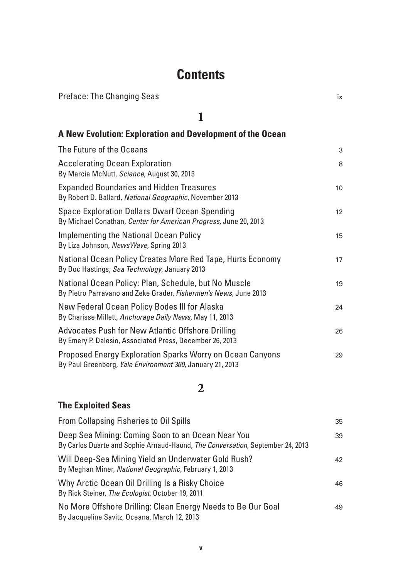# **Contents**

| <b>Preface: The Changing Seas</b>                                                                                         | ix              |
|---------------------------------------------------------------------------------------------------------------------------|-----------------|
| 1                                                                                                                         |                 |
| A New Evolution: Exploration and Development of the Ocean                                                                 |                 |
| The Future of the Oceans                                                                                                  | 3               |
| <b>Accelerating Ocean Exploration</b><br>By Marcia McNutt, Science, August 30, 2013                                       | 8               |
| <b>Expanded Boundaries and Hidden Treasures</b><br>By Robert D. Ballard, National Geographic, November 2013               | 10              |
| <b>Space Exploration Dollars Dwarf Ocean Spending</b><br>By Michael Conathan, Center for American Progress, June 20, 2013 | 12 <sup>2</sup> |
| <b>Implementing the National Ocean Policy</b><br>By Liza Johnson, NewsWave, Spring 2013                                   | 15              |
| National Ocean Policy Creates More Red Tape, Hurts Economy<br>By Doc Hastings, Sea Technology, January 2013               | 17              |
| National Ocean Policy: Plan, Schedule, but No Muscle<br>By Pietro Parravano and Zeke Grader, Fishermen's News, June 2013  | 19              |
| New Federal Ocean Policy Bodes III for Alaska<br>By Charisse Millett, Anchorage Daily News, May 11, 2013                  | 24              |
| <b>Advocates Push for New Atlantic Offshore Drilling</b><br>By Emery P. Dalesio, Associated Press, December 26, 2013      | 26              |
| Proposed Energy Exploration Sparks Worry on Ocean Canyons<br>By Paul Greenberg, Yale Environment 360, January 21, 2013    | 29              |

### **2**

### **The Exploited Seas**

| From Collapsing Fisheries to Oil Spills                                                                                             | 35 |
|-------------------------------------------------------------------------------------------------------------------------------------|----|
| Deep Sea Mining: Coming Soon to an Ocean Near You<br>By Carlos Duarte and Sophie Arnaud-Haond, The Conversation, September 24, 2013 | 39 |
| Will Deep-Sea Mining Yield an Underwater Gold Rush?<br>By Meghan Miner, National Geographic, February 1, 2013                       | 42 |
| Why Arctic Ocean Oil Drilling Is a Risky Choice<br>By Rick Steiner, The Ecologist, October 19, 2011                                 | 46 |
| No More Offshore Drilling: Clean Energy Needs to Be Our Goal<br>By Jacqueline Savitz, Oceana, March 12, 2013                        | 49 |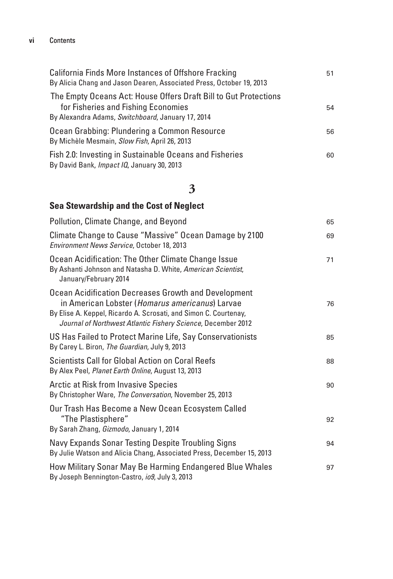#### **vi** Contents

| <b>California Finds More Instances of Offshore Fracking</b><br>By Alicia Chang and Jason Dearen, Associated Press, October 19, 2013                          | 51 |
|--------------------------------------------------------------------------------------------------------------------------------------------------------------|----|
| The Empty Oceans Act: House Offers Draft Bill to Gut Protections<br>for Fisheries and Fishing Economies<br>By Alexandra Adams, Switchboard, January 17, 2014 | 54 |
| Ocean Grabbing: Plundering a Common Resource<br>By Michèle Mesmain, Slow Fish, April 26, 2013                                                                | 56 |
| Fish 2.0: Investing in Sustainable Oceans and Fisheries<br>By David Bank, Impact IQ, January 30, 2013                                                        | 60 |

# **3**

### **Sea Stewardship and the Cost of Neglect**

| Pollution, Climate Change, and Beyond                                                                                                                                                                                                       | 65 |
|---------------------------------------------------------------------------------------------------------------------------------------------------------------------------------------------------------------------------------------------|----|
| Climate Change to Cause "Massive" Ocean Damage by 2100<br>Environment News Service, October 18, 2013                                                                                                                                        | 69 |
| Ocean Acidification: The Other Climate Change Issue<br>By Ashanti Johnson and Natasha D. White, American Scientist,<br>January/February 2014                                                                                                | 71 |
| Ocean Acidification Decreases Growth and Development<br>in American Lobster (Homarus americanus) Larvae<br>By Elise A. Keppel, Ricardo A. Scrosati, and Simon C. Courtenay,<br>Journal of Northwest Atlantic Fishery Science, December 2012 | 76 |
| US Has Failed to Protect Marine Life, Say Conservationists<br>By Carey L. Biron, The Guardian, July 9, 2013                                                                                                                                 | 85 |
| <b>Scientists Call for Global Action on Coral Reefs</b><br>By Alex Peel, Planet Earth Online, August 13, 2013                                                                                                                               | 88 |
| <b>Arctic at Risk from Invasive Species</b><br>By Christopher Ware, The Conversation, November 25, 2013                                                                                                                                     | 90 |
| Our Trash Has Become a New Ocean Ecosystem Called<br>"The Plastisphere"<br>By Sarah Zhang, Gizmodo, January 1, 2014                                                                                                                         | 92 |
| Navy Expands Sonar Testing Despite Troubling Signs<br>By Julie Watson and Alicia Chang, Associated Press, December 15, 2013                                                                                                                 | 94 |
| How Military Sonar May Be Harming Endangered Blue Whales<br>By Joseph Bennington-Castro, io9, July 3, 2013                                                                                                                                  | 97 |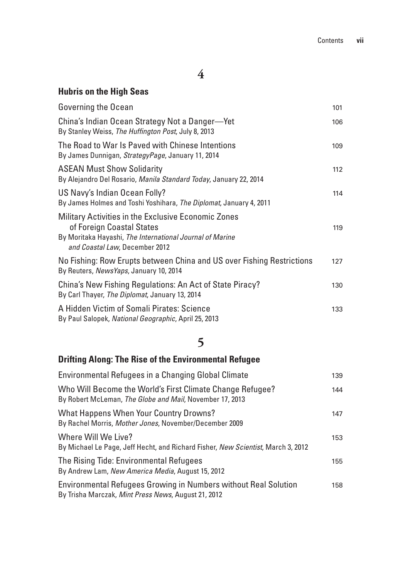## **Hubris on the High Seas**

| Governing the Ocean                                                                                                                                                            | 101 |
|--------------------------------------------------------------------------------------------------------------------------------------------------------------------------------|-----|
| China's Indian Ocean Strategy Not a Danger-Yet<br>By Stanley Weiss, The Huffington Post, July 8, 2013                                                                          | 106 |
| The Road to War Is Paved with Chinese Intentions<br>By James Dunnigan, StrategyPage, January 11, 2014                                                                          | 109 |
| <b>ASEAN Must Show Solidarity</b><br>By Alejandro Del Rosario, Manila Standard Today, January 22, 2014                                                                         | 112 |
| US Navy's Indian Ocean Folly?<br>By James Holmes and Toshi Yoshihara, The Diplomat, January 4, 2011                                                                            | 114 |
| Military Activities in the Exclusive Economic Zones<br>of Foreign Coastal States<br>By Moritaka Hayashi, The International Journal of Marine<br>and Coastal Law, December 2012 | 119 |
| No Fishing: Row Erupts between China and US over Fishing Restrictions<br>By Reuters, NewsYaps, January 10, 2014                                                                | 127 |
| China's New Fishing Regulations: An Act of State Piracy?<br>By Carl Thayer, The Diplomat, January 13, 2014                                                                     | 130 |
| A Hidden Victim of Somali Pirates: Science<br>By Paul Salopek, National Geographic, April 25, 2013                                                                             | 133 |

# **5**

## **Drifting Along: The Rise of the Environmental Refugee**

| Environmental Refugees in a Changing Global Climate                                                                    | 139 |
|------------------------------------------------------------------------------------------------------------------------|-----|
| Who Will Become the World's First Climate Change Refugee?<br>By Robert McLeman, The Globe and Mail, November 17, 2013  | 144 |
| What Happens When Your Country Drowns?<br>By Rachel Morris, Mother Jones, November/December 2009                       | 147 |
| Where Will We Live?<br>By Michael Le Page, Jeff Hecht, and Richard Fisher, New Scientist, March 3, 2012                | 153 |
| The Rising Tide: Environmental Refugees<br>By Andrew Lam, New America Media, August 15, 2012                           | 155 |
| Environmental Refugees Growing in Numbers without Real Solution<br>By Trisha Marczak, Mint Press News, August 21, 2012 | 158 |